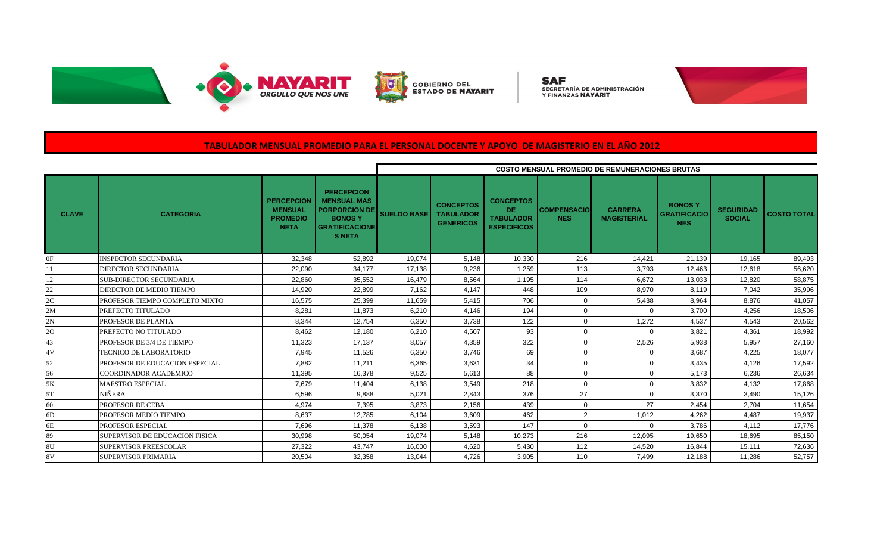



GOBIERNO DEL<br>ESTADO DE **NAYARIT** 

**SAF**<br>secretaría de administración<br>y finanzas **nayarit** 



# **TABULADOR MENSUAL PROMEDIO PARA EL PERSONAL DOCENTE Y APOYO DE MAGISTERIO EN EL AÑO 2012**

|                |                                |                                                                       |                                                                                                                            | <b>COSTO MENSUAL PROMEDIO DE REMUNERACIONES BRUTAS</b> |                                                          |                                                                   |                                  |                                      |                                                    |                                   |                    |  |  |
|----------------|--------------------------------|-----------------------------------------------------------------------|----------------------------------------------------------------------------------------------------------------------------|--------------------------------------------------------|----------------------------------------------------------|-------------------------------------------------------------------|----------------------------------|--------------------------------------|----------------------------------------------------|-----------------------------------|--------------------|--|--|
| <b>CLAVE</b>   | <b>CATEGORIA</b>               | <b>PERCEPCION</b><br><b>MENSUAL</b><br><b>PROMEDIO</b><br><b>NETA</b> | <b>PERCEPCION</b><br><b>MENSUAL MAS</b><br><b>PORPORCION DE</b><br><b>BONOSY</b><br><b>GRATIFICACIONE</b><br><b>S NETA</b> | <b>SUELDO BASE</b>                                     | <b>CONCEPTOS</b><br><b>TABULADOR</b><br><b>GENERICOS</b> | <b>CONCEPTOS</b><br>DE.<br><b>TABULADOR</b><br><b>ESPECIFICOS</b> | <b>COMPENSACIO</b><br><b>NES</b> | <b>CARRERA</b><br><b>MAGISTERIAL</b> | <b>BONOSY</b><br><b>GRATIFICACIO</b><br><b>NES</b> | <b>SEGURIDAD</b><br><b>SOCIAL</b> | <b>COSTO TOTAL</b> |  |  |
| 0F             | <b>INSPECTOR SECUNDARIA</b>    | 32.348                                                                | 52.892                                                                                                                     | 19.074                                                 | 5.148                                                    | 10,330                                                            | 216                              | 14.421                               | 21.139                                             | 19.165                            | 89,493             |  |  |
| 11             | DIRECTOR SECUNDARIA            | 22.090                                                                | 34.177                                                                                                                     | 17.138                                                 | 9.236                                                    | 1.259                                                             | 113                              | 3.793                                | 12.463                                             | 12.618                            | 56,620             |  |  |
| 12             | <b>SUB-DIRECTOR SECUNDARIA</b> | 22,860                                                                | 35,552                                                                                                                     | 16,479                                                 | 8,564                                                    | 1,195                                                             | 114                              | 6,672                                | 13,033                                             | 12,820                            | 58,875             |  |  |
| 22             | DIRECTOR DE MEDIO TIEMPO       | 14,920                                                                | 22,899                                                                                                                     | 7,162                                                  | 4,147                                                    | 448                                                               | 109                              | 8,970                                | 8,119                                              | 7,042                             | 35,996             |  |  |
| 2C             | PROFESOR TIEMPO COMPLETO MIXTO | 16,575                                                                | 25,399                                                                                                                     | 11,659                                                 | 5,415                                                    | 706                                                               | $\Omega$                         | 5,438                                | 8,964                                              | 8.876                             | 41,057             |  |  |
| 2M             | PREFECTO TITULADO              | 8,281                                                                 | 11,873                                                                                                                     | 6,210                                                  | 4,146                                                    | 194                                                               | $\Omega$                         | $\Omega$                             | 3,700                                              | 4,256                             | 18,506             |  |  |
| 2N             | PROFESOR DE PLANTA             | 8,344                                                                 | 12,754                                                                                                                     | 6,350                                                  | 3,738                                                    | 122                                                               | $\Omega$                         | 1,272                                | 4,537                                              | 4,543                             | 20,562             |  |  |
| 20             | PREFECTO NO TITULADO           | 8.462                                                                 | 12.180                                                                                                                     | 6,210                                                  | 4,507                                                    | 93                                                                | $\Omega$                         | $\Omega$                             | 3.821                                              | 4.361                             | 18,992             |  |  |
| 43             | PROFESOR DE 3/4 DE TIEMPO      | 11,323                                                                | 17.137                                                                                                                     | 8,057                                                  | 4,359                                                    | 322                                                               | $\Omega$                         | 2,526                                | 5,938                                              | 5,957                             | 27,160             |  |  |
| 4V             | <b>TECNICO DE LABORATORIO</b>  | 7,945                                                                 | 11,526                                                                                                                     | 6,350                                                  | 3,746                                                    | 69                                                                | $\Omega$                         | $\Omega$                             | 3,687                                              | 4,225                             | 18,077             |  |  |
| 52             | PROFESOR DE EDUCACION ESPECIAL | 7,882                                                                 | 11,211                                                                                                                     | 6,365                                                  | 3,631                                                    | 34                                                                | $\Omega$                         | $\Omega$                             | 3,435                                              | 4.126                             | 17,592             |  |  |
| 56             | COORDINADOR ACADEMICO          | 11,395                                                                | 16.378                                                                                                                     | 9,525                                                  | 5,613                                                    | 88                                                                | $\Omega$                         | $\Omega$                             | 5,173                                              | 6,236                             | 26,634             |  |  |
| 5K             | <b>MAESTRO ESPECIAL</b>        | 7,679                                                                 | 11,404                                                                                                                     | 6,138                                                  | 3,549                                                    | 218                                                               | $\Omega$                         | $\Omega$                             | 3,832                                              | 4,132                             | 17,868             |  |  |
| 5T             | NIÑERA                         | 6,596                                                                 | 9,888                                                                                                                      | 5.021                                                  | 2.843                                                    | 376                                                               | 27                               | $\Omega$                             | 3.370                                              | 3.490                             | 15,126             |  |  |
| 60             | PROFESOR DE CEBA               | 4,974                                                                 | 7,395                                                                                                                      | 3,873                                                  | 2,156                                                    | 439                                                               | $\Omega$                         | 27                                   | 2,454                                              | 2,704                             | 11,654             |  |  |
| 6 <sub>D</sub> | PROFESOR MEDIO TIEMPO          | 8,637                                                                 | 12,785                                                                                                                     | 6,104                                                  | 3,609                                                    | 462                                                               | $\overline{2}$                   | 1,012                                | 4,262                                              | 4,487                             | 19,937             |  |  |
| 6E             | PROFESOR ESPECIAL              | 7.696                                                                 | 11.378                                                                                                                     | 6,138                                                  | 3,593                                                    | 147                                                               |                                  | $\Omega$                             | 3.786                                              | 4.112                             | 17,776             |  |  |
| 89             | SUPERVISOR DE EDUCACION FISICA | 30,998                                                                | 50,054                                                                                                                     | 19,074                                                 | 5,148                                                    | 10,273                                                            | 216                              | 12,095                               | 19,650                                             | 18,695                            | 85,150             |  |  |
| 8U             | <b>SUPERVISOR PREESCOLAR</b>   | 27,322                                                                | 43,747                                                                                                                     | 16,000                                                 | 4,620                                                    | 5,430                                                             | 112                              | 14,520                               | 16,844                                             | 15.111                            | 72,636             |  |  |
| 8V             | <b>SUPERVISOR PRIMARIA</b>     | 20,504                                                                | 32,358                                                                                                                     | 13,044                                                 | 4,726                                                    | 3,905                                                             | 110                              | 7.499                                | 12,188                                             | 11.286                            | 52,757             |  |  |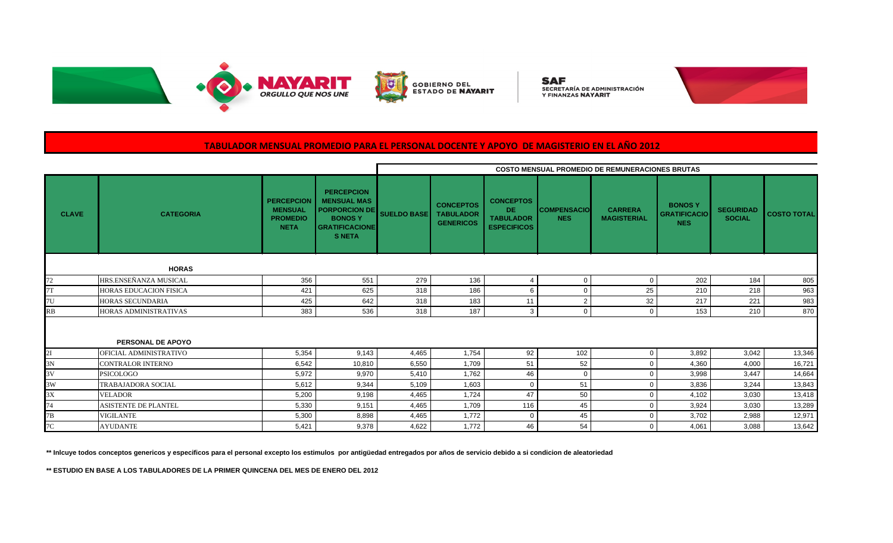



**SAF**<br>secretaría de administración<br>y finanzas **nayarit** 



# **TABULADOR MENSUAL PROMEDIO PARA EL PERSONAL DOCENTE Y APOYO DE MAGISTERIO EN EL AÑO 2012**

|              |                           |                                                                       |                                                                                                                            | <b>COSTO MENSUAL PROMEDIO DE REMUNERACIONES BRUTAS</b> |                                                          |                                                                         |                                  |                                      |                                                    |                                   |                    |  |
|--------------|---------------------------|-----------------------------------------------------------------------|----------------------------------------------------------------------------------------------------------------------------|--------------------------------------------------------|----------------------------------------------------------|-------------------------------------------------------------------------|----------------------------------|--------------------------------------|----------------------------------------------------|-----------------------------------|--------------------|--|
| <b>CLAVE</b> | <b>CATEGORIA</b>          | <b>PERCEPCION</b><br><b>MENSUAL</b><br><b>PROMEDIO</b><br><b>NETA</b> | <b>PERCEPCION</b><br><b>MENSUAL MAS</b><br><b>PORPORCION DE</b><br><b>BONOSY</b><br><b>GRATIFICACIONE</b><br><b>S NETA</b> | <b>SUELDO BASE</b>                                     | <b>CONCEPTOS</b><br><b>TABULADOR</b><br><b>GENERICOS</b> | <b>CONCEPTOS</b><br><b>DE</b><br><b>TABULADOR</b><br><b>ESPECIFICOS</b> | <b>COMPENSACIO</b><br><b>NES</b> | <b>CARRERA</b><br><b>MAGISTERIAL</b> | <b>BONOSY</b><br><b>GRATIFICACIO</b><br><b>NES</b> | <b>SEGURIDAD</b><br><b>SOCIAL</b> | <b>COSTO TOTAL</b> |  |
|              | <b>HORAS</b>              |                                                                       |                                                                                                                            |                                                        |                                                          |                                                                         |                                  |                                      |                                                    |                                   |                    |  |
| 72           | HRS.ENSEÑANZA MUSICAL     | 356                                                                   | 551                                                                                                                        | 279                                                    | 136                                                      | 4                                                                       | $\Omega$                         | $\Omega$                             | 202                                                | 184                               | 805                |  |
| 7T           | HORAS EDUCACION FISICA    | 421                                                                   | 625                                                                                                                        | 318                                                    | 186                                                      | 6                                                                       |                                  | 25                                   | 210                                                | 218                               | 963                |  |
| 7U           | HORAS SECUNDARIA          | 425                                                                   | 642                                                                                                                        | 318                                                    | 183                                                      | 11                                                                      | $\overline{2}$                   | 32                                   | 217                                                | 221                               | 983                |  |
| <b>RB</b>    | HORAS ADMINISTRATIVAS     | 383                                                                   | 536                                                                                                                        | 318                                                    | 187                                                      | 3                                                                       | $\Omega$                         | $\Omega$                             | 153                                                | 210                               | 870                |  |
|              | PERSONAL DE APOYO         |                                                                       |                                                                                                                            |                                                        |                                                          |                                                                         |                                  |                                      |                                                    |                                   |                    |  |
| 2I           | OFICIAL ADMINISTRATIVO    | 5,354                                                                 | 9,143                                                                                                                      | 4,465                                                  | 1,754                                                    | 92                                                                      | 102                              | $\mathbf 0$                          | 3,892                                              | 3,042                             | 13,346             |  |
| 3N           | CONTRALOR INTERNO         | 6,542                                                                 | 10,810                                                                                                                     | 6,550                                                  | 1,709                                                    | 51                                                                      | 52                               | $\Omega$                             | 4,360                                              | 4,000                             | 16,721             |  |
| 3V           | <b>PSICOLOGO</b>          | 5,972                                                                 | 9,970                                                                                                                      | 5,410                                                  | 1,762                                                    | 46                                                                      | $\Omega$                         | $\Omega$                             | 3,998                                              | 3,447                             | 14,664             |  |
| 3W           | <b>TRABAJADORA SOCIAL</b> | 5,612                                                                 | 9,344                                                                                                                      | 5,109                                                  | 1,603                                                    | $\Omega$                                                                | 51                               |                                      | 3,836                                              | 3.244                             | 13,843             |  |
| 3X           | <b>VELADOR</b>            | 5,200                                                                 | 9,198                                                                                                                      | 4,465                                                  | 1,724                                                    | 47                                                                      | 50                               |                                      | 4,102                                              | 3,030                             | 13,418             |  |
| 74           | ASISTENTE DE PLANTEL      | 5,330                                                                 | 9,151                                                                                                                      | 4,465                                                  | 1,709                                                    | 116                                                                     | 45                               | $\Omega$                             | 3,924                                              | 3,030                             | 13,289             |  |
| 7B           | <b>VIGILANTE</b>          | 5,300                                                                 | 8,898                                                                                                                      | 4,465                                                  | 1,772                                                    | 0                                                                       | 45                               | $\Omega$                             | 3,702                                              | 2,988                             | 12,971             |  |
| 7C           | <b>AYUDANTE</b>           | 5,421                                                                 | 9,378                                                                                                                      | 4,622                                                  | 1,772                                                    | 46                                                                      | 54                               | $\Omega$                             | 4,061                                              | 3,088                             | 13,642             |  |

**\*\* Inlcuye todos conceptos genericos y especificos para el personal excepto los estimulos por antigüedad entregados por años de servicio debido a si condicion de aleatoriedad**

**\*\* ESTUDIO EN BASE A LOS TABULADORES DE LA PRIMER QUINCENA DEL MES DE ENERO DEL 2012**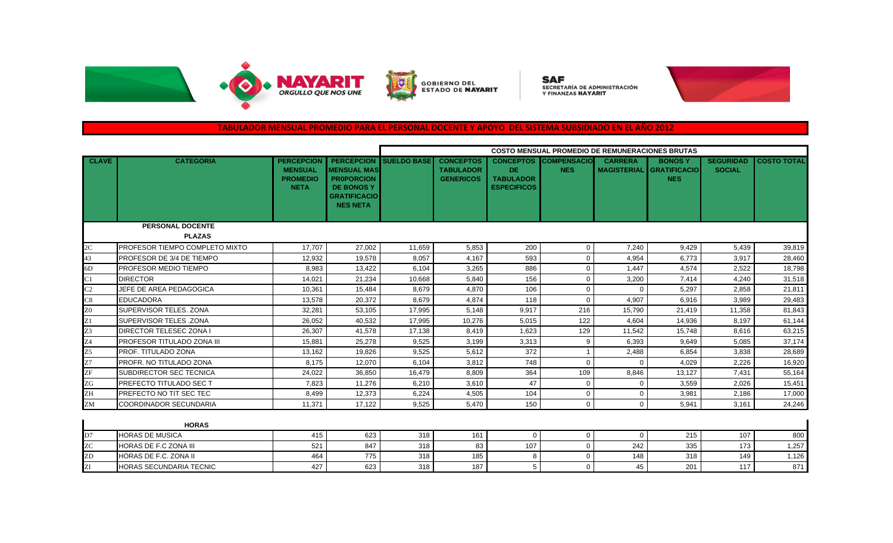

**GOBIERNO DEL<br>ESTADO DE <b>NAYARIT** 

**SAF**<br>secretaría de administración<br>y finanzas **nayarit** 



### **TABULADOR MENSUAL PROMEDIO PARA EL PERSONAL DOCENTE Y APOYO DEL SISTEMA SUBSIDIADO EN EL AÑO 2012**

|                 |                                    |                                                                       |                                                                                                                             | <b>COSTO MENSUAL PROMEDIO DE REMUNERACIONES BRUTAS</b> |                                                          |                                                                   |                                  |                                      |                                                    |                                   |                    |
|-----------------|------------------------------------|-----------------------------------------------------------------------|-----------------------------------------------------------------------------------------------------------------------------|--------------------------------------------------------|----------------------------------------------------------|-------------------------------------------------------------------|----------------------------------|--------------------------------------|----------------------------------------------------|-----------------------------------|--------------------|
| <b>CLAVE</b>    | <b>CATEGORIA</b>                   | <b>PERCEPCION</b><br><b>MENSUAL</b><br><b>PROMEDIO</b><br><b>NETA</b> | <b>PERCEPCION</b><br><b>MENSUAL MAS</b><br><b>PROPORCION</b><br><b>DE BONOS Y</b><br><b>GRATIFICACIO</b><br><b>NES NETA</b> | <b>SUELDO BASE</b>                                     | <b>CONCEPTOS</b><br><b>TABULADOR</b><br><b>GENERICOS</b> | <b>CONCEPTOS</b><br>DE.<br><b>TABULADOR</b><br><b>ESPECIFICOS</b> | <b>COMPENSACIO</b><br><b>NES</b> | <b>CARRERA</b><br><b>MAGISTERIAL</b> | <b>BONOSY</b><br><b>GRATIFICACIO</b><br><b>NES</b> | <b>SEGURIDAD</b><br><b>SOCIAL</b> | <b>COSTO TOTAL</b> |
|                 | <b>PERSONAL DOCENTE</b>            |                                                                       |                                                                                                                             |                                                        |                                                          |                                                                   |                                  |                                      |                                                    |                                   |                    |
|                 | <b>PLAZAS</b>                      |                                                                       |                                                                                                                             |                                                        |                                                          |                                                                   |                                  |                                      |                                                    |                                   |                    |
| 2C              | PROFESOR TIEMPO COMPLETO MIXTO     | 17.707                                                                | 27,002                                                                                                                      | 11.659                                                 | 5.853                                                    | 200                                                               | $\mathbf{0}$                     | 7.240                                | 9,429                                              | 5,439                             | 39,819             |
| 43              | PROFESOR DE 3/4 DE TIEMPO          | 12,932                                                                | 19,578                                                                                                                      | 8,057                                                  | 4,167                                                    | 593                                                               | $\mathbf 0$                      | 4,954                                | 6,773                                              | 3,917                             | 28,460             |
| 6D              | <b>PROFESOR MEDIO TIEMPO</b>       | 8,983                                                                 | 13,422                                                                                                                      | 6,104                                                  | 3,265                                                    | 886                                                               | 0                                | 1,447                                | 4,574                                              | 2,522                             | 18,798             |
| C1              | <b>DIRECTOR</b>                    | 14,021                                                                | 21,234                                                                                                                      | 10,668                                                 | 5,840                                                    | 156                                                               | $\Omega$                         | 3,200                                | 7.414                                              | 4,240                             | 31,518             |
| C <sub>2</sub>  | JEFE DE AREA PEDAGOGICA            | 10,361                                                                | 15,484                                                                                                                      | 8.679                                                  | 4,870                                                    | 106                                                               | $\mathbf 0$                      | $\Omega$                             | 5,297                                              | 2,858                             | 21,811             |
| C8              | <b>EDUCADORA</b>                   | 13,578                                                                | 20,372                                                                                                                      | 8.679                                                  | 4.874                                                    | 118                                                               | $\Omega$                         | 4,907                                | 6,916                                              | 3,989                             | 29,483             |
| Z <sub>0</sub>  | SUPERVISOR TELES, ZONA             | 32,281                                                                | 53,105                                                                                                                      | 17.995                                                 | 5.148                                                    | 9.917                                                             | 216                              | 15.790                               | 21.419                                             | 11,358                            | 81,843             |
| $\overline{z}$  | <b>SUPERVISOR TELES .ZONA</b>      | 26,052                                                                | 40,532                                                                                                                      | 17,995                                                 | 10,276                                                   | 5,015                                                             | 122                              | 4,604                                | 14,936                                             | 8,197                             | 61,144             |
| $\overline{Z}3$ | <b>DIRECTOR TELESEC ZONA I</b>     | 26,307                                                                | 41,578                                                                                                                      | 17,138                                                 | 8,419                                                    | 1,623                                                             | 129                              | 11,542                               | 15,748                                             | 8,616                             | 63,215             |
| Z4              | <b>IPROFESOR TITULADO ZONA III</b> | 15.881                                                                | 25,278                                                                                                                      | 9.525                                                  | 3,199                                                    | 3,313                                                             | 9                                | 6.393                                | 9.649                                              | 5,085                             | 37,174             |
| Z <sub>5</sub>  | PROF. TITULADO ZONA                | 13,162                                                                | 19,826                                                                                                                      | 9,525                                                  | 5.612                                                    | 372                                                               | $\overline{\mathbf{1}}$          | 2,488                                | 6,854                                              | 3,838                             | 28,689             |
| Z7              | PROFR. NO TITULADO ZONA            | 8.175                                                                 | 12,070                                                                                                                      | 6.104                                                  | 3,812                                                    | 748                                                               | $\Omega$                         | $\Omega$                             | 4,029                                              | 2,226                             | 16,920             |
| ZF              | <b>SUBDIRECTOR SEC TECNICA</b>     | 24,022                                                                | 36,850                                                                                                                      | 16,479                                                 | 8,809                                                    | 364                                                               | 109                              | 8,846                                | 13,127                                             | 7,431                             | 55,164             |
| ZG              | <b>PREFECTO TITULADO SEC T</b>     | 7,823                                                                 | 11,276                                                                                                                      | 6,210                                                  | 3,610                                                    | 47                                                                | $\mathbf 0$                      | $\Omega$                             | 3,559                                              | 2,026                             | 15,451             |
| ZH              | PREFECTO NO TIT SEC TEC            | 8.499                                                                 | 12,373                                                                                                                      | 6,224                                                  | 4,505                                                    | 104                                                               | $\mathbf 0$                      | $\mathbf 0$                          | 3.981                                              | 2,186                             | 17,000             |
| ZM              | <b>COORDINADOR SECUNDARIA</b>      | 11,371                                                                | 17,122                                                                                                                      | 9.525                                                  | 5,470                                                    | 150                                                               | $\mathbf 0$                      | $\Omega$                             | 5,941                                              | 3.161                             | 24,246             |
|                 | <b>HORAS</b>                       |                                                                       |                                                                                                                             |                                                        |                                                          |                                                                   |                                  |                                      |                                                    |                                   |                    |
| D7              | <b>HORAS DE MUSICA</b>             | 415                                                                   | 623                                                                                                                         | 318                                                    | 161                                                      | $\mathbf 0$                                                       | $\mathbf 0$                      | $\mathbf 0$                          | 215                                                | 107                               | 800                |
| ZC              | HORAS DE F.C ZONA III              | 521                                                                   | 847                                                                                                                         | 318                                                    | 83                                                       | 107                                                               | $\mathbf 0$                      | 242                                  | 335                                                | 173                               | 1,257              |
| ZD              | HORAS DE F.C. ZONA II              | 464                                                                   | 775                                                                                                                         | 318                                                    | 185                                                      | 8                                                                 | $\mathbf 0$                      | 148                                  | 318                                                | 149                               | 1,126              |
| $\overline{Z}I$ | HORAS SECUNDARIA TECNIC            | 427                                                                   | 623                                                                                                                         | 318                                                    | 187                                                      | 5                                                                 | $\mathbf 0$                      | 45                                   | 201                                                | 117                               | 871                |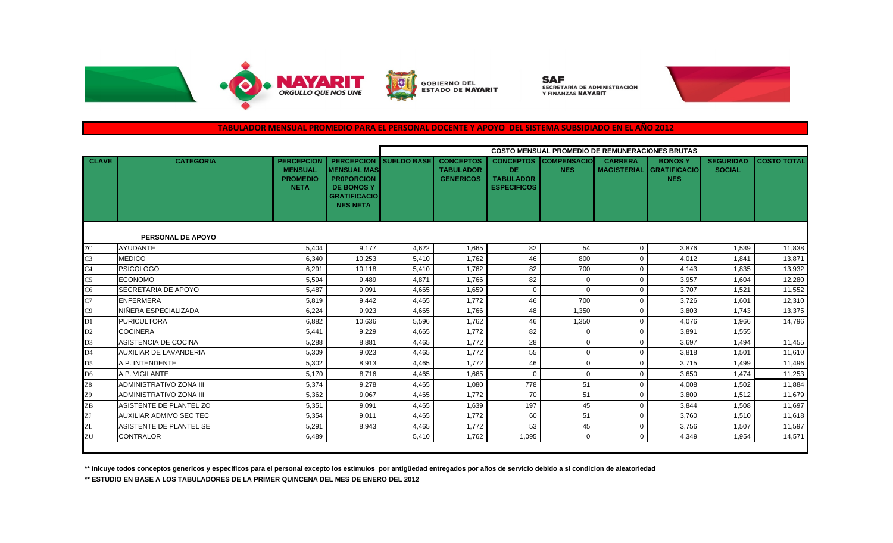

GOBIERNO DEL<br>ESTADO DE **NAYARIT** 

**SAF** SECRETARÍA DE ADMINISTRACIÓN Y FINANZAS NAYARIT



### **TABULADOR MENSUAL PROMEDIO PARA EL PERSONAL DOCENTE Y APOYO DEL SISTEMA SUBSIDIADO EN EL AÑO 2012**

|                          |                                |                                                                       |                                                                                                                             | <b>COSTO MENSUAL PROMEDIO DE REMUNERACIONES BRUTAS</b> |                                                          |                                                                   |                                  |                                      |                                                    |                                   |                    |
|--------------------------|--------------------------------|-----------------------------------------------------------------------|-----------------------------------------------------------------------------------------------------------------------------|--------------------------------------------------------|----------------------------------------------------------|-------------------------------------------------------------------|----------------------------------|--------------------------------------|----------------------------------------------------|-----------------------------------|--------------------|
| <b>CLAVE</b>             | <b>CATEGORIA</b>               | <b>PERCEPCION</b><br><b>MENSUAL</b><br><b>PROMEDIO</b><br><b>NETA</b> | <b>PERCEPCION</b><br><b>MENSUAL MAS</b><br><b>PROPORCION</b><br><b>DE BONOS Y</b><br><b>GRATIFICACIO</b><br><b>NES NETA</b> | <b>SUELDO BASE</b>                                     | <b>CONCEPTOS</b><br><b>TABULADOR</b><br><b>GENERICOS</b> | <b>CONCEPTOS</b><br>DE.<br><b>TABULADOR</b><br><b>ESPECIFICOS</b> | <b>COMPENSACIO</b><br><b>NES</b> | <b>CARRERA</b><br><b>MAGISTERIAL</b> | <b>BONOSY</b><br><b>GRATIFICACIO</b><br><b>NES</b> | <b>SEGURIDAD</b><br><b>SOCIAL</b> | <b>COSTO TOTAL</b> |
| <b>PERSONAL DE APOYO</b> |                                |                                                                       |                                                                                                                             |                                                        |                                                          |                                                                   |                                  |                                      |                                                    |                                   |                    |
| 7 <sup>C</sup>           | <b>AYUDANTE</b>                | 5,404                                                                 | 9,177                                                                                                                       | 4,622                                                  | 1.665                                                    | 82                                                                | 54                               | $\mathbf 0$                          | 3,876                                              | 1,539                             | 11,838             |
| $\overline{C}$ 3         | <b>MEDICO</b>                  | 6,340                                                                 | 10,253                                                                                                                      | 5,410                                                  | 1,762                                                    | 46                                                                | 800                              | $\Omega$                             | 4,012                                              | 1,841                             | 13,871             |
| C <sub>4</sub>           | <b>PSICOLOGO</b>               | 6,291                                                                 | 10,118                                                                                                                      | 5,410                                                  | 1.762                                                    | 82                                                                | 700                              | $\mathbf 0$                          | 4.143                                              | 1,835                             | 13,932             |
| $\overline{C5}$          | <b>ECONOMO</b>                 | 5,594                                                                 | 9,489                                                                                                                       | 4.871                                                  | 1.766                                                    | 82                                                                | $\Omega$                         | $\Omega$                             | 3.957                                              | 1.604                             | 12,280             |
| C6                       | <b>SECRETARIA DE APOYO</b>     | 5,487                                                                 | 9,091                                                                                                                       | 4,665                                                  | 1,659                                                    | $\Omega$                                                          | $\Omega$                         | $\Omega$                             | 3,707                                              | 1,521                             | 11,552             |
| C <sub>7</sub>           | <b>ENFERMERA</b>               | 5,819                                                                 | 9,442                                                                                                                       | 4,465                                                  | 1.772                                                    | 46                                                                | 700                              | $\Omega$                             | 3,726                                              | 1.601                             | 12,310             |
| C9                       | NIÑERA ESPECIALIZADA           | 6,224                                                                 | 9,923                                                                                                                       | 4,665                                                  | 1,766                                                    | 48                                                                | 1,350                            | $\mathbf 0$                          | 3,803                                              | 1,743                             | 13,375             |
| $\overline{D1}$          | <b>PURICULTORA</b>             | 6,882                                                                 | 10,636                                                                                                                      | 5,596                                                  | 1,762                                                    | 46                                                                | 1,350                            | $\mathbf 0$                          | 4,076                                              | 1,966                             | 14,796             |
| D2                       | <b>COCINERA</b>                | 5,441                                                                 | 9,229                                                                                                                       | 4,665                                                  | 1,772                                                    | 82                                                                | $\Omega$                         | $\Omega$                             | 3,891                                              | 1,555                             |                    |
| D <sub>3</sub>           | ASISTENCIA DE COCINA           | 5,288                                                                 | 8,881                                                                                                                       | 4,465                                                  | 1.772                                                    | 28                                                                | $\Omega$                         | $\Omega$                             | 3.697                                              | 1,494                             | 11,455             |
| D <sub>4</sub>           | AUXILIAR DE LAVANDERIA         | 5,309                                                                 | 9,023                                                                                                                       | 4,465                                                  | 1.772                                                    | 55                                                                | $\Omega$                         | $\Omega$                             | 3,818                                              | 1,501                             | 11,610             |
| D <sub>5</sub>           | A.P. INTENDENTE                | 5,302                                                                 | 8,913                                                                                                                       | 4,465                                                  | 1.772                                                    | 46                                                                | $\Omega$                         | $\Omega$                             | 3,715                                              | 1,499                             | 11,496             |
| D <sub>6</sub>           | A.P. VIGILANTE                 | 5,170                                                                 | 8,716                                                                                                                       | 4,465                                                  | 1,665                                                    | $\Omega$                                                          | $\Omega$                         | $\Omega$                             | 3,650                                              | 1,474                             | 11,253             |
| $\overline{28}$          | ADMINISTRATIVO ZONA III        | 5,374                                                                 | 9,278                                                                                                                       | 4,465                                                  | 1,080                                                    | 778                                                               | 51                               | $\mathbf{0}$                         | 4.008                                              | 1,502                             | 11,884             |
| Z9                       | ADMINISTRATIVO ZONA III        | 5,362                                                                 | 9,067                                                                                                                       | 4.465                                                  | 1.772                                                    | 70                                                                | 51                               | $\mathbf{0}$                         | 3,809                                              | 1,512                             | 11,679             |
| ZB                       | ASISTENTE DE PLANTEL ZO        | 5,351                                                                 | 9,091                                                                                                                       | 4,465                                                  | 1,639                                                    | 197                                                               | 45                               | $\Omega$                             | 3,844                                              | 1,508                             | 11,697             |
| $\overline{Z}$           | <b>AUXILIAR ADMIVO SEC TEC</b> | 5,354                                                                 | 9,011                                                                                                                       | 4,465                                                  | 1.772                                                    | 60                                                                | 51                               | $\mathbf{0}$                         | 3.760                                              | 1,510                             | 11,618             |
| ZL                       | ASISTENTE DE PLANTEL SE        | 5,291                                                                 | 8,943                                                                                                                       | 4,465                                                  | 1.772                                                    | 53                                                                | 45                               | 0                                    | 3.756                                              | 1,507                             | 11,597             |
| ZU                       | <b>CONTRALOR</b>               | 6,489                                                                 |                                                                                                                             | 5,410                                                  | 1.762                                                    | 1.095                                                             | $\mathbf{0}$                     | $\Omega$                             | 4.349                                              | 1.954                             | 14,571             |
|                          |                                |                                                                       |                                                                                                                             |                                                        |                                                          |                                                                   |                                  |                                      |                                                    |                                   |                    |

**\*\* Inlcuye todos conceptos genericos y especificos para el personal excepto los estimulos por antigüedad entregados por años de servicio debido a si condicion de aleatoriedad**

**\*\* ESTUDIO EN BASE A LOS TABULADORES DE LA PRIMER QUINCENA DEL MES DE ENERO DEL 2012**